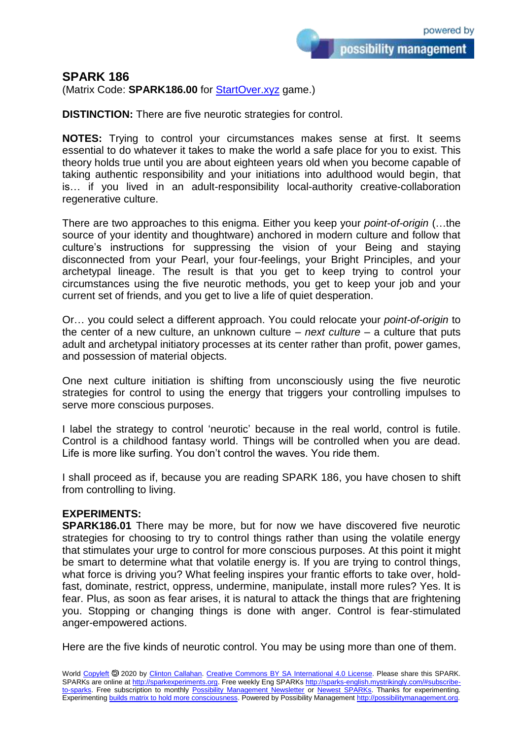## **SPARK 186**

(Matrix Code: **SPARK186.00** for **StartOver.xyz** game.)

**DISTINCTION:** There are five neurotic strategies for control.

**NOTES:** Trying to control your circumstances makes sense at first. It seems essential to do whatever it takes to make the world a safe place for you to exist. This theory holds true until you are about eighteen years old when you become capable of taking authentic responsibility and your initiations into adulthood would begin, that is… if you lived in an adult-responsibility local-authority creative-collaboration regenerative culture.

There are two approaches to this enigma. Either you keep your *point-of-origin* (…the source of your identity and thoughtware) anchored in modern culture and follow that culture's instructions for suppressing the vision of your Being and staying disconnected from your Pearl, your four-feelings, your Bright Principles, and your archetypal lineage. The result is that you get to keep trying to control your circumstances using the five neurotic methods, you get to keep your job and your current set of friends, and you get to live a life of quiet desperation.

Or… you could select a different approach. You could relocate your *point-of-origin* to the center of a new culture, an unknown culture – *next culture* – a culture that puts adult and archetypal initiatory processes at its center rather than profit, power games, and possession of material objects.

One next culture initiation is shifting from unconsciously using the five neurotic strategies for control to using the energy that triggers your controlling impulses to serve more conscious purposes.

I label the strategy to control 'neurotic' because in the real world, control is futile. Control is a childhood fantasy world. Things will be controlled when you are dead. Life is more like surfing. You don't control the waves. You ride them.

I shall proceed as if, because you are reading SPARK 186, you have chosen to shift from controlling to living.

## **EXPERIMENTS:**

**SPARK186.01** There may be more, but for now we have discovered five neurotic strategies for choosing to try to control things rather than using the volatile energy that stimulates your urge to control for more conscious purposes. At this point it might be smart to determine what that volatile energy is. If you are trying to control things, what force is driving you? What feeling inspires your frantic efforts to take over, holdfast, dominate, restrict, oppress, undermine, manipulate, install more rules? Yes. It is fear. Plus, as soon as fear arises, it is natural to attack the things that are frightening you. Stopping or changing things is done with anger. Control is fear-stimulated anger-empowered actions.

Here are the five kinds of neurotic control. You may be using more than one of them.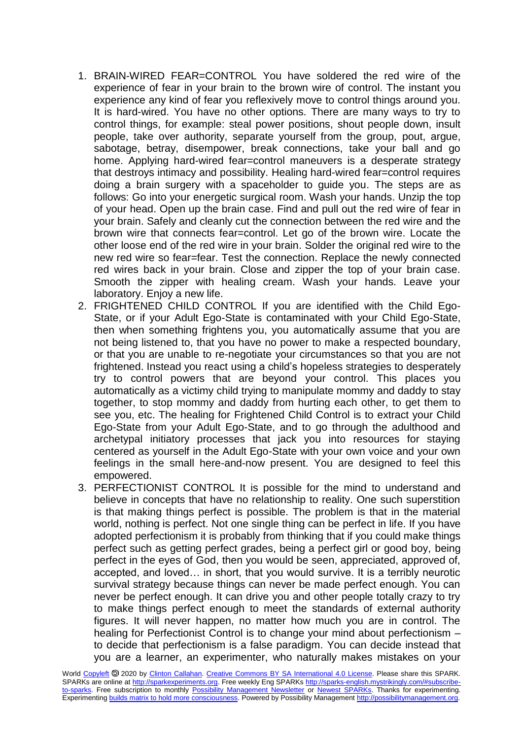- 1. BRAIN-WIRED FEAR=CONTROL You have soldered the red wire of the experience of fear in your brain to the brown wire of control. The instant you experience any kind of fear you reflexively move to control things around you. It is hard-wired. You have no other options. There are many ways to try to control things, for example: steal power positions, shout people down, insult people, take over authority, separate yourself from the group, pout, argue, sabotage, betray, disempower, break connections, take your ball and go home. Applying hard-wired fear=control maneuvers is a desperate strategy that destroys intimacy and possibility. Healing hard-wired fear=control requires doing a brain surgery with a spaceholder to guide you. The steps are as follows: Go into your energetic surgical room. Wash your hands. Unzip the top of your head. Open up the brain case. Find and pull out the red wire of fear in your brain. Safely and cleanly cut the connection between the red wire and the brown wire that connects fear=control. Let go of the brown wire. Locate the other loose end of the red wire in your brain. Solder the original red wire to the new red wire so fear=fear. Test the connection. Replace the newly connected red wires back in your brain. Close and zipper the top of your brain case. Smooth the zipper with healing cream. Wash your hands. Leave your laboratory. Enjoy a new life.
- 2. FRIGHTENED CHILD CONTROL If you are identified with the Child Ego-State, or if your Adult Ego-State is contaminated with your Child Ego-State, then when something frightens you, you automatically assume that you are not being listened to, that you have no power to make a respected boundary, or that you are unable to re-negotiate your circumstances so that you are not frightened. Instead you react using a child's hopeless strategies to desperately try to control powers that are beyond your control. This places you automatically as a victimy child trying to manipulate mommy and daddy to stay together, to stop mommy and daddy from hurting each other, to get them to see you, etc. The healing for Frightened Child Control is to extract your Child Ego-State from your Adult Ego-State, and to go through the adulthood and archetypal initiatory processes that jack you into resources for staying centered as yourself in the Adult Ego-State with your own voice and your own feelings in the small here-and-now present. You are designed to feel this empowered.
- 3. PERFECTIONIST CONTROL It is possible for the mind to understand and believe in concepts that have no relationship to reality. One such superstition is that making things perfect is possible. The problem is that in the material world, nothing is perfect. Not one single thing can be perfect in life. If you have adopted perfectionism it is probably from thinking that if you could make things perfect such as getting perfect grades, being a perfect girl or good boy, being perfect in the eyes of God, then you would be seen, appreciated, approved of, accepted, and loved… in short, that you would survive. It is a terribly neurotic survival strategy because things can never be made perfect enough. You can never be perfect enough. It can drive you and other people totally crazy to try to make things perfect enough to meet the standards of external authority figures. It will never happen, no matter how much you are in control. The healing for Perfectionist Control is to change your mind about perfectionism – to decide that perfectionism is a false paradigm. You can decide instead that you are a learner, an experimenter, who naturally makes mistakes on your